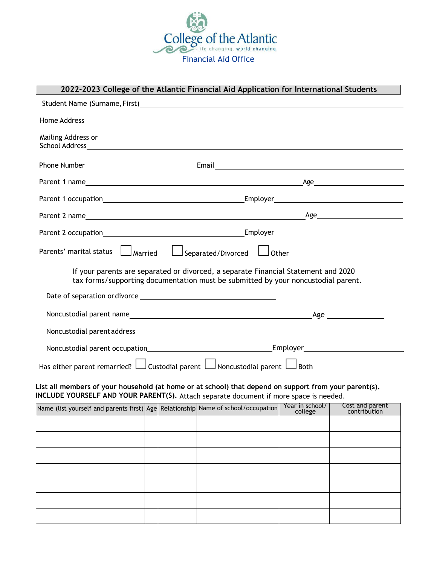

## **2022-2023 College of the Atlantic Financial Aid Application for International Students**

| Student Name (Surname, First) Student and the Student Name of Student Name of Student Automatic Student Automatic Student                                                                                                                           |                                                                            |  |                                                                                                                                                                         |                            |                                 |
|-----------------------------------------------------------------------------------------------------------------------------------------------------------------------------------------------------------------------------------------------------|----------------------------------------------------------------------------|--|-------------------------------------------------------------------------------------------------------------------------------------------------------------------------|----------------------------|---------------------------------|
|                                                                                                                                                                                                                                                     |                                                                            |  |                                                                                                                                                                         |                            |                                 |
| Mailing Address or<br>School Address experience and the contract of the contract of the contract of the contract of the contract of the contract of the contract of the contract of the contract of the contract of the contract of the contract of |                                                                            |  |                                                                                                                                                                         |                            |                                 |
|                                                                                                                                                                                                                                                     |                                                                            |  |                                                                                                                                                                         |                            |                                 |
|                                                                                                                                                                                                                                                     |                                                                            |  |                                                                                                                                                                         |                            |                                 |
|                                                                                                                                                                                                                                                     |                                                                            |  |                                                                                                                                                                         |                            |                                 |
|                                                                                                                                                                                                                                                     |                                                                            |  |                                                                                                                                                                         |                            |                                 |
|                                                                                                                                                                                                                                                     |                                                                            |  |                                                                                                                                                                         |                            |                                 |
| Parents' marital status $\Box$ Married $\Box$ Separated/Divorced $\Box$ Other $\Box$                                                                                                                                                                |                                                                            |  |                                                                                                                                                                         |                            |                                 |
|                                                                                                                                                                                                                                                     |                                                                            |  | If your parents are separated or divorced, a separate Financial Statement and 2020<br>tax forms/supporting documentation must be submitted by your noncustodial parent. |                            |                                 |
|                                                                                                                                                                                                                                                     |                                                                            |  |                                                                                                                                                                         |                            |                                 |
|                                                                                                                                                                                                                                                     |                                                                            |  |                                                                                                                                                                         |                            | $\text{Age}$                    |
|                                                                                                                                                                                                                                                     |                                                                            |  |                                                                                                                                                                         |                            |                                 |
|                                                                                                                                                                                                                                                     |                                                                            |  |                                                                                                                                                                         |                            |                                 |
|                                                                                                                                                                                                                                                     | Has either parent remarried? Lustodial parent Lumoncustodial parent Lumoth |  |                                                                                                                                                                         |                            |                                 |
| List all members of your household (at home or at school) that depend on support from your parent(s).<br>INCLUDE YOURSELF AND YOUR PARENT(S). Attach separate document if more space is needed.                                                     |                                                                            |  |                                                                                                                                                                         |                            |                                 |
| Name (list yourself and parents first) Age Relationship Name of school/occupation                                                                                                                                                                   |                                                                            |  |                                                                                                                                                                         | Year in school/<br>college | Cost and parent<br>contribution |
|                                                                                                                                                                                                                                                     |                                                                            |  |                                                                                                                                                                         |                            |                                 |
|                                                                                                                                                                                                                                                     |                                                                            |  |                                                                                                                                                                         |                            |                                 |
|                                                                                                                                                                                                                                                     |                                                                            |  |                                                                                                                                                                         |                            |                                 |
|                                                                                                                                                                                                                                                     |                                                                            |  |                                                                                                                                                                         |                            |                                 |
|                                                                                                                                                                                                                                                     |                                                                            |  |                                                                                                                                                                         |                            |                                 |
|                                                                                                                                                                                                                                                     |                                                                            |  |                                                                                                                                                                         |                            |                                 |
|                                                                                                                                                                                                                                                     |                                                                            |  |                                                                                                                                                                         |                            |                                 |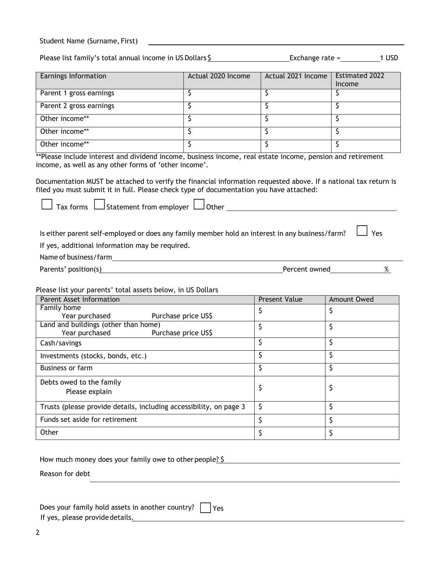| Student Name (Surname, First) |  |  |
|-------------------------------|--|--|
|-------------------------------|--|--|

Please list family's total annual income in US Dollars \$ Exchange rate = 1 USD

| Earnings Information    | Actual 2020 Income | Actual 2021 Income | <b>Estimated 2022</b><br>Income |
|-------------------------|--------------------|--------------------|---------------------------------|
| Parent 1 gross earnings |                    |                    |                                 |
| Parent 2 gross earnings |                    |                    |                                 |
| Other income**          |                    |                    |                                 |
| Other income**          |                    |                    |                                 |
| Other income**          |                    |                    |                                 |

\*\*Please include interest and dividend income, business income, real estate income, pension and retirement income, as well as any other forms of 'other income'.

Documentation MUST be attached to verify the financial information requested above. If a national tax return is filed you must submit it in full. Please check type of documentation you have attached:

 $\Box$  Tax forms  $\Box$  Statement from employer  $\Box$  Other

Is either parent self-employed or does any family member hold an interest in any business/farm?  $\vert$  Yes

If yes, additional information may be required.

Name of business/farm

Parents' position(s) 8 and 8 and 8 and 9 and 9 and 9 and 9 and 9 and 9 and 9 and 9 and 9 and 9 and 9 and 9 and 9 and 9 and 9 and 9 and 9 and 9 and 9 and 9 and 9 and 9 and 9 and 9 and 9 and 9 and 9 and 9 and 9 and 9 and 9 a

Please list your parents' total assets below, in US Dollars

| Parent Asset Information                                           | <b>Present Value</b> | Amount Owed |
|--------------------------------------------------------------------|----------------------|-------------|
| Family home                                                        |                      |             |
| Year purchased<br>Purchase price US\$                              |                      |             |
| Land and buildings (other than home)                               |                      |             |
| Year purchased<br>Purchase price US\$                              |                      |             |
| Cash/savings                                                       |                      |             |
| Investments (stocks, bonds, etc.)                                  |                      |             |
| <b>Business or farm</b>                                            |                      |             |
| Debts owed to the family                                           |                      |             |
| Please explain                                                     |                      |             |
| Trusts (please provide details, including accessibility, on page 3 | S                    |             |
| Funds set aside for retirement                                     |                      |             |
| Other                                                              |                      |             |

How much money does your family owe to other people? \$

Reason for debt

|  |  | Does your family hold assets in another country? $\Box$ Yes |  |
|--|--|-------------------------------------------------------------|--|
|  |  |                                                             |  |

If yes, please provide details.